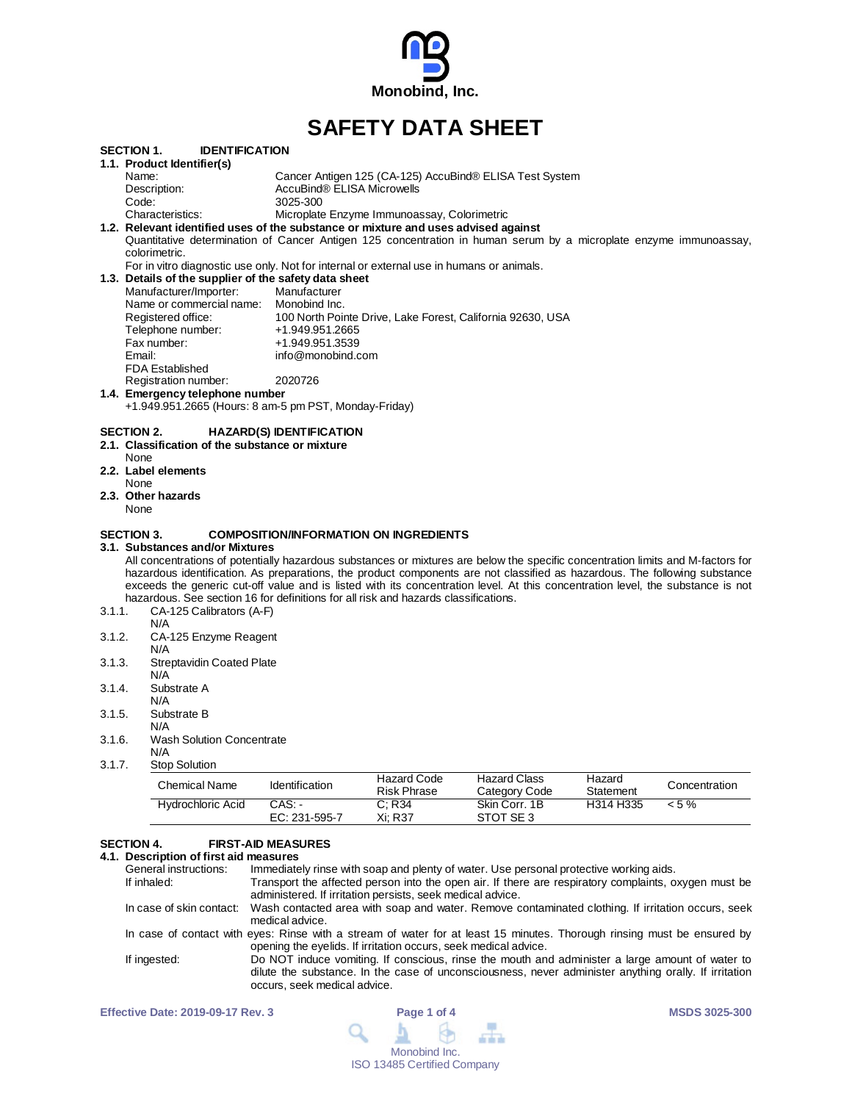

# **SAFETY DATA SHEET**

|        | <b>IDENTIFICATION</b><br>SECTION 1.                           |                                                                                                                                  |
|--------|---------------------------------------------------------------|----------------------------------------------------------------------------------------------------------------------------------|
|        | 1.1. Product Identifier(s)                                    |                                                                                                                                  |
|        | Name:                                                         | Cancer Antigen 125 (CA-125) AccuBind® ELISA Test System                                                                          |
|        | Description:                                                  | AccuBind® ELISA Microwells                                                                                                       |
|        | Code:                                                         | 3025-300                                                                                                                         |
|        | Characteristics:                                              | Microplate Enzyme Immunoassay, Colorimetric                                                                                      |
|        |                                                               | 1.2. Relevant identified uses of the substance or mixture and uses advised against                                               |
|        |                                                               | Quantitative determination of Cancer Antigen 125 concentration in human serum by a microplate enzyme immunoassay,                |
|        | colorimetric.                                                 |                                                                                                                                  |
|        |                                                               | For in vitro diagnostic use only. Not for internal or external use in humans or animals.                                         |
|        | 1.3. Details of the supplier of the safety data sheet         |                                                                                                                                  |
|        | Manufacturer/Importer:                                        | Manufacturer                                                                                                                     |
|        | Name or commercial name: Monobind Inc.                        |                                                                                                                                  |
|        | Registered office:                                            | 100 North Pointe Drive, Lake Forest, California 92630, USA                                                                       |
|        | Telephone number:                                             | +1.949.951.2665                                                                                                                  |
|        | Fax number:                                                   | +1.949.951.3539                                                                                                                  |
|        | Email:                                                        | info@monobind.com                                                                                                                |
|        | <b>FDA Established</b>                                        |                                                                                                                                  |
|        | Registration number:                                          | 2020726                                                                                                                          |
|        | 1.4. Emergency telephone number                               |                                                                                                                                  |
|        |                                                               | +1.949.951.2665 (Hours: 8 am-5 pm PST, Monday-Friday)                                                                            |
|        |                                                               |                                                                                                                                  |
|        | SECTION 2.<br>2.1. Classification of the substance or mixture | <b>HAZARD(S) IDENTIFICATION</b>                                                                                                  |
|        | None                                                          |                                                                                                                                  |
|        | 2.2. Label elements                                           |                                                                                                                                  |
|        | None                                                          |                                                                                                                                  |
|        | 2.3. Other hazards                                            |                                                                                                                                  |
|        | None                                                          |                                                                                                                                  |
|        |                                                               |                                                                                                                                  |
|        | SECTION 3.                                                    | <b>COMPOSITION/INFORMATION ON INGREDIENTS</b>                                                                                    |
|        | 3.1.  Substances and/or Mixtures                              |                                                                                                                                  |
|        |                                                               | All concentrations of potentially hazardous substances or mixtures are below the specific concentration limits and M-factors for |
|        |                                                               | hazardous identification. As preparations, the product components are not classified as hazardous. The following substance       |
|        |                                                               | exceeds the generic cut-off value and is listed with its concentration level. At this concentration level, the substance is not  |
|        |                                                               | hazardous. See section 16 for definitions for all risk and hazards classifications.                                              |
| 3.1.1. | CA-125 Calibrators (A-F)                                      |                                                                                                                                  |
|        | N/A                                                           |                                                                                                                                  |
| 3.1.2. | CA-125 Enzyme Reagent                                         |                                                                                                                                  |
|        | N/A                                                           |                                                                                                                                  |
| 3.1.3. | <b>Streptavidin Coated Plate</b>                              |                                                                                                                                  |
|        | N/A                                                           |                                                                                                                                  |
| 3.1.4. | Substrate A                                                   |                                                                                                                                  |
|        | N/A                                                           |                                                                                                                                  |
| 3.1.5. | Substrate B                                                   |                                                                                                                                  |
|        | N/A                                                           |                                                                                                                                  |
| 3.1.6. | <b>Wash Solution Concentrate</b>                              |                                                                                                                                  |
|        | N/A                                                           |                                                                                                                                  |

3.1.7. Stop Solution

| Chemical Name     | <b>Identification</b>     | Hazard Code<br><b>Risk Phrase</b> | <b>Hazard Class</b><br>Category Code | Hazard<br>Statement | Concentration |
|-------------------|---------------------------|-----------------------------------|--------------------------------------|---------------------|---------------|
| Hydrochloric Acid | CAS: -<br>$EC: 231-595-7$ | C: R34<br>Xi: R37                 | Skin Corr. 1B<br>STOT SE3            | H314 H335           | $< 5 \%$      |

# **SECTION 4. FIRST-AID MEASURES**

# **4.1. Description of first aid measures**

| General instructions: | Immediately rinse with soap and plenty of water. Use personal protective working aids.                                                                                                                                                   |
|-----------------------|------------------------------------------------------------------------------------------------------------------------------------------------------------------------------------------------------------------------------------------|
|                       |                                                                                                                                                                                                                                          |
| If inhaled:           | Transport the affected person into the open air. If there are respiratory complaints, oxygen must be<br>administered. If irritation persists, seek medical advice.                                                                       |
|                       | In case of skin contact: Wash contacted area with soap and water. Remove contaminated clothing. If irritation occurs, seek<br>medical advice.                                                                                            |
|                       | In case of contact with eyes: Rinse with a stream of water for at least 15 minutes. Thorough rinsing must be ensured by<br>opening the eyelids. If irritation occurs, seek medical advice.                                               |
| If ingested:          | Do NOT induce vomiting. If conscious, rinse the mouth and administer a large amount of water to<br>dilute the substance. In the case of unconsciousness, never administer anything orally. If irritation<br>occurs, seek medical advice. |

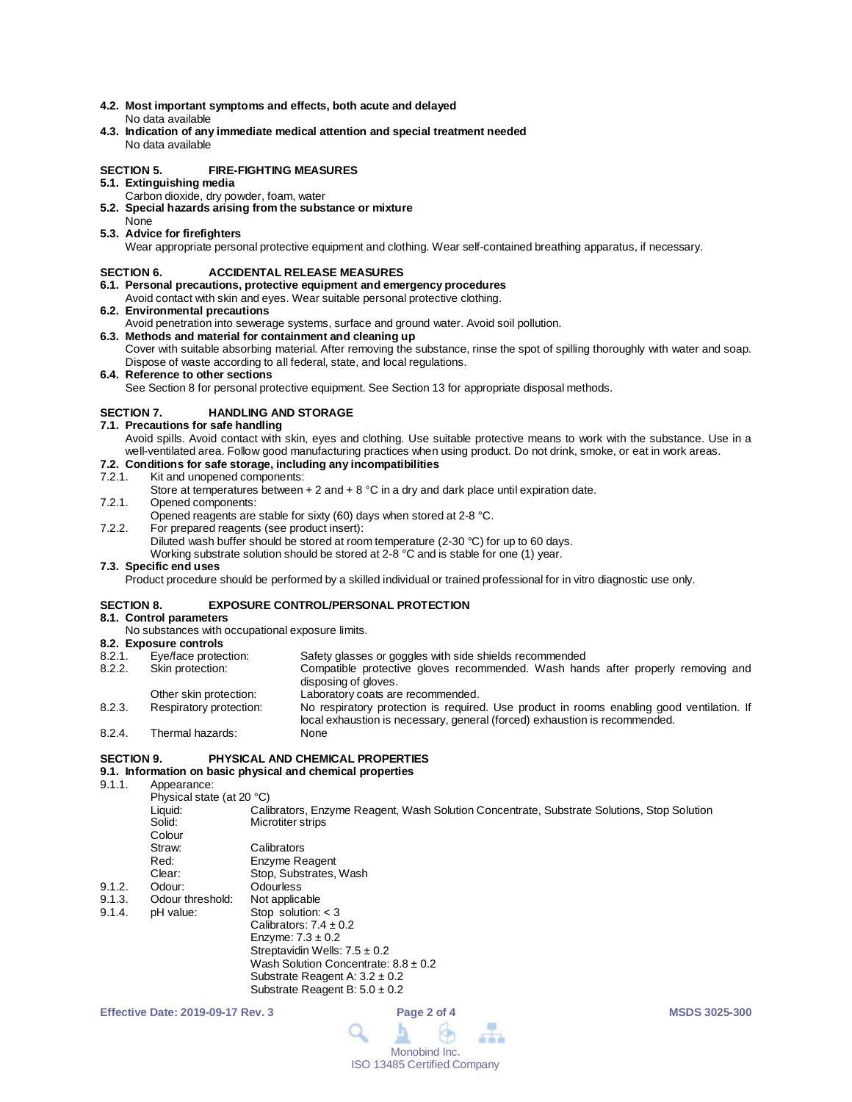- **4.2. Most important symptoms and effects, both acute and delayed** No data available
- **4.3. Indication of any immediate medical attention and special treatment needed** No data available

#### **SECTION 5. FIRE-FIGHTING MEASURES**

- **5.1. Extinguishing media**
	- Carbon dioxide, dry powder, foam, water
- **5.2. Special hazards arising from the substance or mixture** None
- **5.3. Advice for firefighters**

Wear appropriate personal protective equipment and clothing. Wear self-contained breathing apparatus, if necessary.

#### **SECTION 6. ACCIDENTAL RELEASE MEASURES**

- **6.1. Personal precautions, protective equipment and emergency procedures**
- Avoid contact with skin and eyes. Wear suitable personal protective clothing.
- **6.2. Environmental precautions**
- Avoid penetration into sewerage systems, surface and ground water. Avoid soil pollution.
- **6.3. Methods and material for containment and cleaning up** Cover with suitable absorbing material. After removing the substance, rinse the spot of spilling thoroughly with water and soap. Dispose of waste according to all federal, state, and local regulations.
- **6.4. Reference to other sections**

See Section 8 for personal protective equipment. See Section 13 for appropriate disposal methods.

#### **SECTION 7. HANDLING AND STORAGE**

- **7.1. Precautions for safe handling**
	- Avoid spills. Avoid contact with skin, eyes and clothing. Use suitable protective means to work with the substance. Use in a well-ventilated area. Follow good manufacturing practices when using product. Do not drink, smoke, or eat in work areas.

# **7.2. Conditions for safe storage, including any incompatibilities**

#### Kit and unopened components:

- Store at temperatures between  $+ 2$  and  $+ 8$  °C in a dry and dark place until expiration date.
- 7.2.1. Opened components:
- Opened reagents are stable for sixty (60) days when stored at 2-8 °C.
- 7.2.2. For prepared reagents (see product insert):
	- Diluted wash buffer should be stored at room temperature (2-30 °C) for up to 60 days.

Working substrate solution should be stored at 2-8 °C and is stable for one (1) year.

#### **7.3. Specific end uses**

Product procedure should be performed by a skilled individual or trained professional for in vitro diagnostic use only.

#### **SECTION 8. EXPOSURE CONTROL/PERSONAL PROTECTION**

#### **8.1. Control parameters**

No substances with occupational exposure limits.

## **8.2. Exposure controls**

| 8.2.1. | Eye/face protection:    | Safety glasses or goggles with side shields recommended                                                                                                                 |
|--------|-------------------------|-------------------------------------------------------------------------------------------------------------------------------------------------------------------------|
| 8.2.2. | Skin protection:        | Compatible protective gloves recommended. Wash hands after properly removing and<br>disposing of gloves.                                                                |
|        | Other skin protection:  | Laboratory coats are recommended.                                                                                                                                       |
| 8.2.3. | Respiratory protection: | No respiratory protection is required. Use product in rooms enabling good ventilation. If<br>local exhaustion is necessary, general (forced) exhaustion is recommended. |
| 8.2.4. | Thermal hazards:        | None                                                                                                                                                                    |

#### **SECTION 9. PHYSICAL AND CHEMICAL PROPERTIES**

## **9.1. Information on basic physical and chemical properties**

9.1.1 Appearance:

|        | Physical state (at 20 °C) |                                                                                            |
|--------|---------------------------|--------------------------------------------------------------------------------------------|
|        | Liquid:                   | Calibrators, Enzyme Reagent, Wash Solution Concentrate, Substrate Solutions, Stop Solution |
|        | Solid:                    | Microtiter strips                                                                          |
|        | Colour                    |                                                                                            |
|        | Straw:                    | Calibrators                                                                                |
|        | Red:                      | Enzyme Reagent                                                                             |
|        | Clear:                    | Stop, Substrates, Wash                                                                     |
| 9.1.2. | Odour:                    | Odourless                                                                                  |
| 9.1.3. | Odour threshold:          | Not applicable                                                                             |
| 9.1.4. | pH value:                 | Stop solution: $<$ 3                                                                       |
|        |                           | Calibrators: $7.4 \pm 0.2$                                                                 |
|        |                           | Enzyme: $7.3 \pm 0.2$                                                                      |
|        |                           | Streptavidin Wells: $7.5 \pm 0.2$                                                          |
|        |                           | Wash Solution Concentrate: $8.8 \pm 0.2$                                                   |
|        |                           | Substrate Reagent A: $3.2 \pm 0.2$                                                         |
|        |                           | Substrate Reagent B: $5.0 \pm 0.2$                                                         |

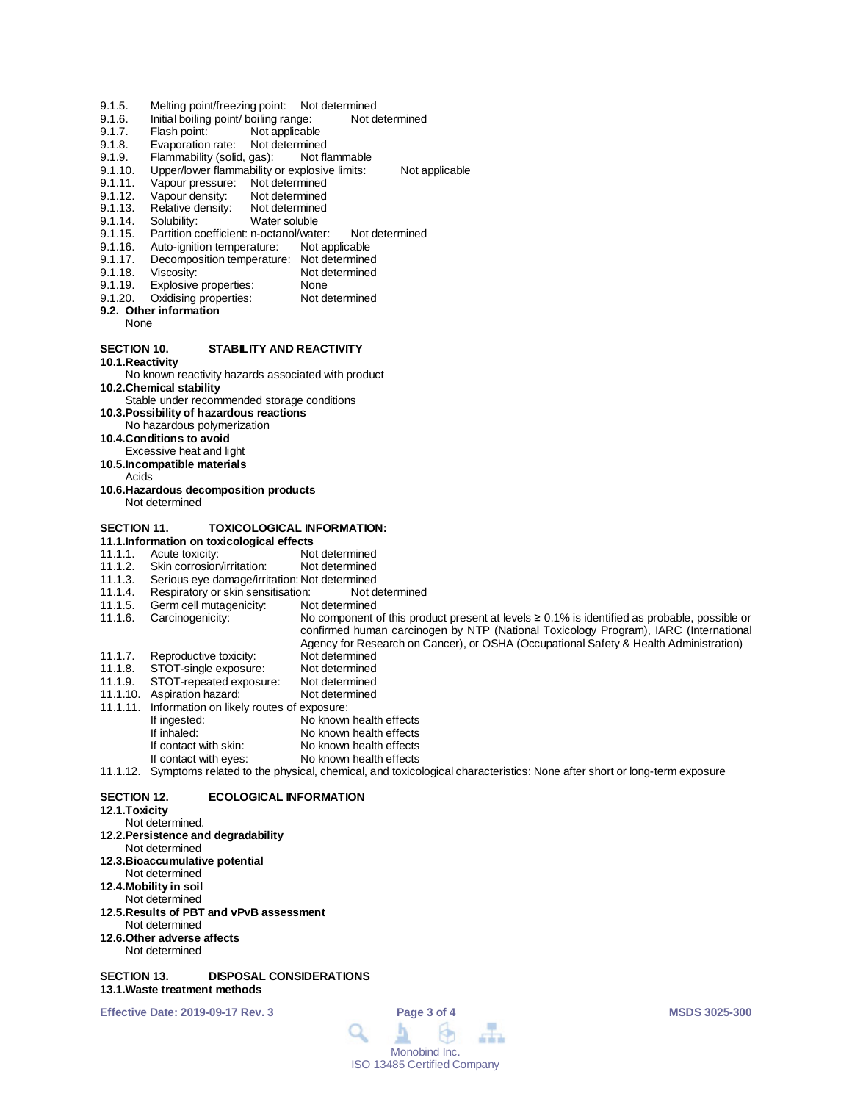- 9.1.5. Melting point/freezing point: Not determined<br>9.1.6. Initial boiling point/ boiling range: Not determined
- 9.1.6. Initial boiling point/ boiling range:<br>9.1.7. Flash point: Not applicable
- 9.1.7. Flash point: Not applicable<br>9.1.8. Evaporation rate: Not determine
- Evaporation rate: Not determined
- 9.1.9. Flammability (solid, gas): Not flammable<br>9.1.10. Upper/lower flammability or explosive limits:
- 9.1.10. Upper/lower flammability or explosive limits: Not applicable<br>9.1.11. Vapour pressure: Not determined
- 9.1.11. Vapour pressure: Not determined<br>9.1.12. Vapour density: Not determined
- Vapour density: Not determined<br>Relative density: Not determined
- 9.1.13. Relative density:<br>9.1.14. Solubility:
- 9.1.14. Solubility: Water soluble<br>9.1.15. Partition coefficient: n-octanol/wate
- 9.1.15. Partition coefficient: n-octanol/water: Not determined<br>9.1.16. Auto-ignition temperature: Not applicable
- 9.1.16. Auto-ignition temperature:<br>9.1.17. Decomposition temperature
- 9.1.17. Decomposition temperature: Not determined<br>9.1.18. Viscosity: Not determined
- 9.1.18. Viscosity: Not determined<br>9.1.19. Explosive properties: None
- 
- 9.1.19. Explosive properties: None<br>9.1.20. Oxidising properties: Not determined Oxidising properties:
- **9.2. Other information**
	- None

#### **SECTION 10. STABILITY AND REACTIVITY**

**10.1.Reactivity**

# No known reactivity hazards associated with product

**10.2.Chemical stability**

- Stable under recommended storage conditions
- **10.3.Possibility of hazardous reactions**
- No hazardous polymerization
- **10.4.Conditions to avoid**
- Excessive heat and light
- **10.5.Incompatible materials**
- Acids
- **10.6.Hazardous decomposition products** Not determined

#### **SECTION 11. TOXICOLOGICAL INFORMATION:**

- 
- **11.1.Information on toxicological effects** 11.1.1. Acute toxicity: Not determined<br>11.1.2. Skin corrosion/irritation: Not determined
- 11.1.2. Skin corrosion/irritation:<br>11.1.3. Serious eye damage/irrit
- 11.1.3. Serious eye damage/irritation: Not determined<br>11.1.4. Respiratory or skin sensitisation: Not determined
- 11.1.4. Respiratory or skin sensitisation: Not d<br>11.1.5. Germ cell mutagenicity: Not determined
- 11.1.5. Germ cell mutagenicity:<br>11.1.6. Carcinogenicity: No component of this product present at levels ≥ 0.1% is identified as probable, possible or
- 
- confirmed human carcinogen by NTP (National Toxicology Program), IARC (International
- Agency for Research on Cancer), or OSHA (Occupational Safety & Health Administration)
- 11.1.7. Reproductive toxicity: Not determined<br>11.1.8. STOT-single exposure: Not determined
- 11.1.8. STOT-single exposure: Not determined<br>11.1.9. STOT-repeated exposure: Not determined
- 11.1.9. STOT-repeated exposure: Not determined 11.1.10. Aspiration hazard:
- 
- 11.1.11. Information on likely routes of exposure: If ingested: No known health effects<br>
If inhaled: No known health effects
- No known health effects
- If contact with skin: No known health effects<br>If contact with eyes: No known health effects
- No known health effects

# 11.1.12. Symptoms related to the physical, chemical, and toxicological characteristics: None after short or long-term exposure

## **SECTION 12. ECOLOGICAL INFORMATION**

#### **12.1.Toxicity**

- Not determined.
- **12.2.Persistence and degradability**
- Not determined
- **12.3.Bioaccumulative potential**
- Not determined
- **12.4.Mobility in soil**
- Not determined
- **12.5.Results of PBT and vPvB assessment** Not determined
- **12.6.Other adverse affects**
- Not determined

#### **SECTION 13. DISPOSAL CONSIDERATIONS 13.1.Waste treatment methods**